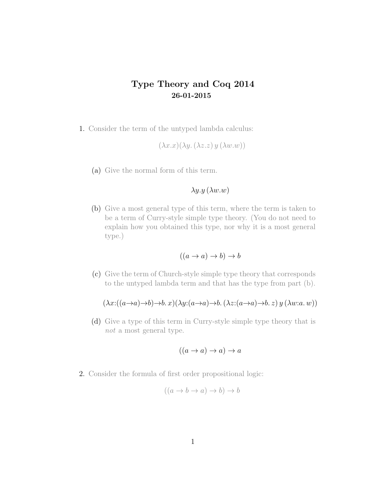## Type Theory and Coq 2014 26-01-2015

1. Consider the term of the untyped lambda calculus:

$$
(\lambda x.x)(\lambda y.(\lambda z.z)y(\lambda w.w))
$$

(a) Give the normal form of this term.

## $\lambda y.y(\lambda w.w)$

(b) Give a most general type of this term, where the term is taken to be a term of Curry-style simple type theory. (You do not need to explain how you obtained this type, nor why it is a most general type.)

$$
((a \to a) \to b) \to b
$$

(c) Give the term of Church-style simple type theory that corresponds to the untyped lambda term and that has the type from part (b).

$$
(\lambda x: ((a \to a) \to b) \to b. x)(\lambda y: (a \to a) \to b. (\lambda z: (a \to a) \to b. z) y (\lambda w: a. w))
$$

(d) Give a type of this term in Curry-style simple type theory that is not a most general type.

$$
((a \to a) \to a) \to a
$$

2. Consider the formula of first order propositional logic:

$$
((a \to b \to a) \to b) \to b
$$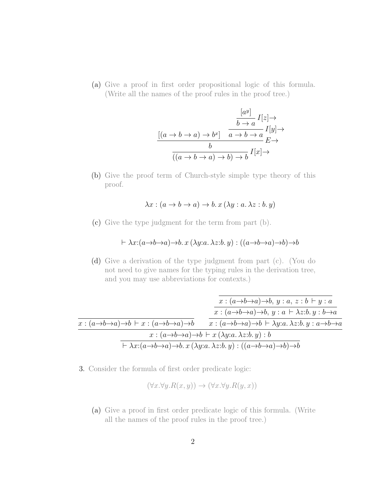(a) Give a proof in first order propositional logic of this formula. (Write all the names of the proof rules in the proof tree.)

$$
\frac{[a^y]}{[a \to b \to a) \to b^x]} \quad \frac{b \to a}{a \to b \to a} I[y] \to
$$

$$
\frac{[a^y]}{[a \to b \to a) \to b} I[x] \to
$$

$$
\frac{b}{((a \to b \to a) \to b) \to b} I[x] \to
$$

(b) Give the proof term of Church-style simple type theory of this proof.

$$
\lambda x : (a \to b \to a) \to b. x (\lambda y : a. \lambda z : b. y)
$$

(c) Give the type judgment for the term from part (b).

$$
\vdash \lambda x{:} (a \mathbin{\rightarrow} b \mathbin{\rightarrow} a) \mathbin{\rightarrow} b\mathbin{.} x \, (\lambda y{:}a \mathbin{.} \lambda z{:}b \mathbin{.} y) : ((a \mathbin{\rightarrow} b \mathbin{\rightarrow} a) \mathbin{\rightarrow} b) \mathbin{\rightarrow} b
$$

(d) Give a derivation of the type judgment from part (c). (You do not need to give names for the typing rules in the derivation tree, and you may use abbreviations for contexts.)

|                                                                                                   | $x:(a\rightarrow b\rightarrow a)\rightarrow b, y:a, z:b\vdash y:a$                                                                                                      |
|---------------------------------------------------------------------------------------------------|-------------------------------------------------------------------------------------------------------------------------------------------------------------------------|
|                                                                                                   | $x:(a\rightarrow b\rightarrow a)\rightarrow b, y:a\vdash \lambda z:b.\ y:b\rightarrow a$                                                                                |
| $x:(a\rightarrow b\rightarrow a)\rightarrow b\vdash x:(a\rightarrow b\rightarrow a)\rightarrow b$ | $x:(a\rightarrow b\rightarrow a)\rightarrow b\vdash \lambda y:a.\lambda z:b.\,y:a\rightarrow b\rightarrow a$                                                            |
| $x:(a\rightarrow b\rightarrow a)\rightarrow b\vdash x(\lambda y:a.\lambda z:b.\,y):b$             |                                                                                                                                                                         |
|                                                                                                   | $\vdash \lambda x : (a \rightarrow b \rightarrow a) \rightarrow b. x (\lambda y : a. \lambda z : b. y) : ((a \rightarrow b \rightarrow a) \rightarrow b) \rightarrow b$ |

3. Consider the formula of first order predicate logic:

$$
(\forall x. \forall y. R(x, y)) \rightarrow (\forall x. \forall y. R(y, x))
$$

(a) Give a proof in first order predicate logic of this formula. (Write all the names of the proof rules in the proof tree.)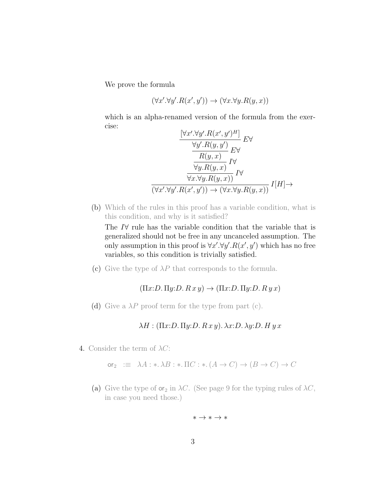We prove the formula

$$
(\forall x'.\forall y'. R(x',y')) \rightarrow (\forall x.\forall y. R(y,x))
$$

which is an alpha-renamed version of the formula from the exercise:  $\mathbf{r}$  $\overline{H}$ 

$$
\frac{\left[\forall x'.\forall y'. R(x', y')^H\right]}{\forall y'. R(y, y')}\nE\forall
$$
\n
$$
\frac{R(y, x)}{\forall y. R(y, x)} I\forall
$$
\n
$$
\frac{\forall x. \forall y. R(y, x)}{\forall x. \forall y. R(y, x)} I\forall
$$
\n
$$
\frac{\left(\forall x'.\forall y'. R(x', y')\right) \rightarrow (\forall x. \forall y. R(y, x))}{\forall x. \forall y. R(y, x)} I[H] \rightarrow
$$

(b) Which of the rules in this proof has a variable condition, what is this condition, and why is it satisfied?

The I∀ rule has the variable condition that the variable that is generalized should not be free in any uncanceled assumption. The only assumption in this proof is  $\forall x'.\forall y'. R(x', y')$  which has no free variables, so this condition is trivially satisfied.

(c) Give the type of  $\lambda P$  that corresponds to the formula.

 $(\Pi x:D.\Pi y:D.\ R x y) \rightarrow (\Pi x:D.\Pi y:D.\ R y x)$ 

(d) Give a  $\lambda P$  proof term for the type from part (c).

 $\lambda H : (\Pi x : D. \Pi y : D. R x y). \lambda x : D. \lambda y : D. H y x$ 

4. Consider the term of  $\lambda C$ :

$$
\text{or}_2 \quad := \quad \lambda A: \ast \cdot \lambda B: \ast \cdot \Pi C: \ast \cdot (A \to C) \to (B \to C) \to C
$$

(a) Give the type of  $\mathsf{or}_2$  in  $\lambda C$ . (See page 9 for the typing rules of  $\lambda C$ , in case you need those.)

$$
*\to *\to *
$$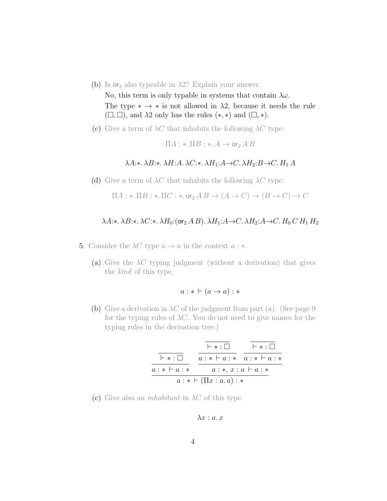- (b) Is or<sub>2</sub> also typeable in  $\lambda$ 2? Explain your answer. No, this term is only typable in systems that contain  $\lambda \omega$ . The type  $* \rightarrow *$  is not allowed in  $\lambda$ 2, because it needs the rule  $(\Box, \Box)$ , and  $\lambda$ 2 only has the rules  $(*, *)$  and  $(\Box, *)$ .
- (c) Give a term of  $\lambda C$  that inhabits the following  $\lambda C$  type:

 $\Pi A : * \Pi B : * A \rightarrow \textsf{or}_2 A B$ 

## $\lambda A: \lambda B: \lambda H: A. \lambda C: \lambda H_1: A \to C. \lambda H_2: B \to C. H_1 A$

(d) Give a term of  $\lambda C$  that inhabits the following  $\lambda C$  type:

$$
\Pi A: \ast.\ \Pi B: \ast.\ \Pi C: \ast.\ \text{or}_2 A B \to (A \to C) \to (B \to C) \to C
$$

## $\lambda A: \lambda B: \lambda C: \lambda H_0: (\text{or}_2 A B) \cdot \lambda H_1: A \to C \cdot \lambda H_2: A \to C \cdot H_0 C H_1 H_2$

- 5. Consider the  $\lambda C$  type  $a \to a$  in the context  $a : *$ .
	- (a) Give the  $\lambda C$  typing judgment (without a derivation) that gives the kind of this type.

$$
a: * \vdash (a \rightarrow a): *
$$

(b) Give a derivation in  $\lambda C$  of the judgment from part (a). (See page 9 for the typing rules of  $\lambda C$ . You do not need to give names for the typing rules in the derivation tree.)

` ∗ : a : ∗ ` a : ∗ ` ∗ : a : ∗ ` a : ∗ ` ∗ : a : ∗ ` a : ∗ a : ∗, x : a ` a : ∗ a : ∗ ` (Πx : a. a) : ∗

(c) Give also an *inhabitant* in  $\lambda C$  of this type.

$$
\lambda x : a. x
$$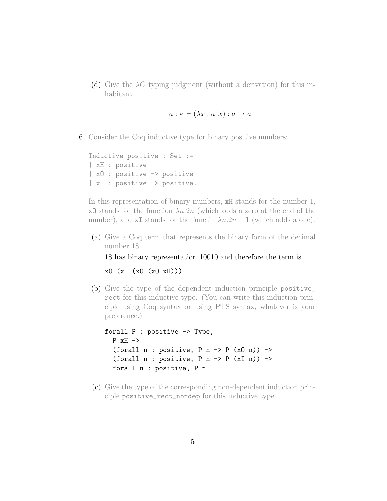(d) Give the  $\lambda C$  typing judgment (without a derivation) for this inhabitant.

 $a : * \vdash (\lambda x : a x) : a \rightarrow a$ 

6. Consider the Coq inductive type for binary positive numbers:

Inductive positive : Set := | xH : positive | xO : positive -> positive | xI : positive -> positive.

In this representation of binary numbers, xH stands for the number 1, xO stands for the function  $\lambda n.2n$  (which adds a zero at the end of the number), and xI stands for the functin  $\lambda n \cdot 2n + 1$  (which adds a one).

(a) Give a Coq term that represents the binary form of the decimal number 18.

18 has binary representation 10010 and therefore the term is

xO (xI (xO (xO xH)))

(b) Give the type of the dependent induction principle positive\_ rect for this inductive type. (You can write this induction principle using Coq syntax or using PTS syntax, whatever is your preference.)

```
forall P : positive -> Type,
P xH ->
(forall n : positive, P n \rightarrow P (x0 n)) ->
(forall n : positive, P n \rightarrow P (xI n)) ->
forall n : positive, P n
```
(c) Give the type of the corresponding non-dependent induction principle positive\_rect\_nondep for this inductive type.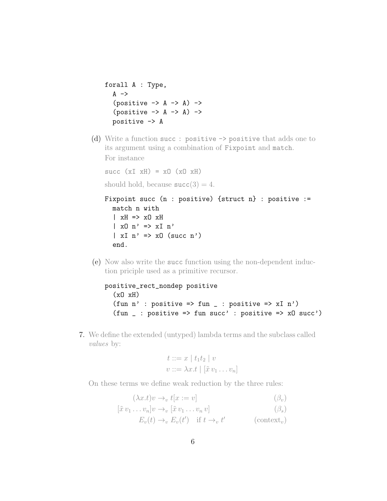```
forall A : Type,
 A \rightarrow(positive \rightarrow A \rightarrow A) \rightarrow(positive \rightarrow A \rightarrow A) \rightarrowpositive -> A
```
(d) Write a function succ : positive -> positive that adds one to its argument using a combination of Fixpoint and match. For instance

succ  $(xI xH) = xO (xO xH)$ 

should hold, because  $succ(3) = 4$ .

```
Fixpoint succ (n : positive) {struct n} : positive :=
match n with
| xH \implies x0 xH| x0 n' => xI n'
\vert xI n' => x0 (succ n')
end.
```
(e) Now also write the succ function using the non-dependent induction priciple used as a primitive recursor.

```
positive_rect_nondep positive
(x0 xH)(fun n' : positive => fun _ : positive => xI n')
(fun _ : positive => fun succ' : positive => xO succ')
```
7. We define the extended (untyped) lambda terms and the subclass called values by:

$$
t ::= x | t_1 t_2 | v
$$
  

$$
v ::= \lambda x. t | [\tilde{x} v_1 ... v_n]
$$

On these terms we define weak reduction by the three rules:

 $(\lambda x.t)v \rightarrow_v t[x := v]$  ( $\beta_v$ )

$$
[\tilde{x} \, v_1 \dots v_n] v \to_v [\tilde{x} \, v_1 \dots v_n \, v] \tag{3}
$$

 $E_v(t) \to_v E_v(t')$  if  $t \to_v t'$  (context<sub>v</sub>)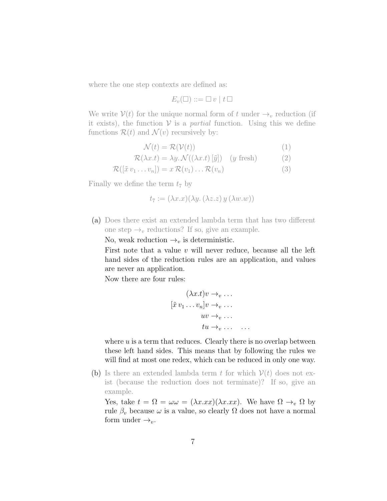where the one step contexts are defined as:

$$
E_v(\square) ::= \square v \mid t \square
$$

We write  $V(t)$  for the unique normal form of t under  $\rightarrow_v$  reduction (if it exists), the function  $V$  is a *partial* function. Using this we define functions  $\mathcal{R}(t)$  and  $\mathcal{N}(v)$  recursively by:

$$
\mathcal{N}(t) = \mathcal{R}(\mathcal{V}(t))
$$
\n(1)

$$
\mathcal{R}(\lambda x.t) = \lambda y. \mathcal{N}((\lambda x.t) [\tilde{y}]) \quad (y \text{ fresh}) \tag{2}
$$

$$
\mathcal{R}([\tilde{x} \, v_1 \dots v_n]) = x \, \mathcal{R}(v_1) \dots \mathcal{R}(v_n) \tag{3}
$$

Finally we define the term  $t_7$  by

$$
t_7 := (\lambda x.x)(\lambda y. (\lambda z.z) y (\lambda w.w))
$$

(a) Does there exist an extended lambda term that has two different one step  $\rightarrow_v$  reductions? If so, give an example.

No, weak reduction  $\rightarrow_v$  is deterministic.

First note that a value  $v$  will never reduce, because all the left hand sides of the reduction rules are an application, and values are never an application.

Now there are four rules:

$$
(\lambda x.t)v \to_v \dots
$$
  

$$
[\tilde{x} v_1 \dots v_n]v \to_v \dots
$$
  

$$
uv \to_v \dots
$$
  

$$
tu \to_v \dots \dots
$$

where  $u$  is a term that reduces. Clearly there is no overlap between these left hand sides. This means that by following the rules we will find at most one redex, which can be reduced in only one way.

(b) Is there an extended lambda term t for which  $V(t)$  does not exist (because the reduction does not terminate)? If so, give an example.

Yes, take  $t = \Omega = \omega \omega = (\lambda x . x x)(\lambda x . x x)$ . We have  $\Omega \rightarrow_{v} \Omega$  by rule  $\beta_v$  because  $\omega$  is a value, so clearly  $\Omega$  does not have a normal form under  $\rightarrow_v$ .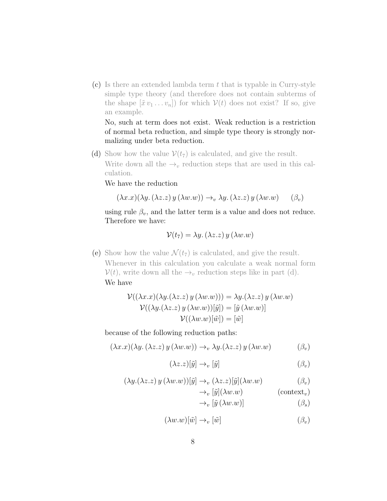(c) Is there an extended lambda term  $t$  that is typable in Curry-style simple type theory (and therefore does not contain subterms of the shape  $[\tilde{x} v_1 \ldots v_n]$  for which  $V(t)$  does not exist? If so, give an example.

No, such at term does not exist. Weak reduction is a restriction of normal beta reduction, and simple type theory is strongly normalizing under beta reduction.

(d) Show how the value  $V(t_7)$  is calculated, and give the result. Write down all the  $\rightarrow_v$  reduction steps that are used in this calculation.

We have the reduction

$$
(\lambda x.x)(\lambda y. (\lambda z.z) y (\lambda w.w)) \rightarrow_v \lambda y. (\lambda z.z) y (\lambda w.w) \quad (\beta_v)
$$

using rule  $\beta_v$ , and the latter term is a value and does not reduce. Therefore we have:

$$
\mathcal{V}(t_7) = \lambda y. \, (\lambda z. z) \, y \, (\lambda w. w)
$$

(e) Show how the value  $\mathcal{N}(t_7)$  is calculated, and give the result. Whenever in this calculation you calculate a weak normal form  $\mathcal{V}(t)$ , write down all the  $\rightarrow_v$  reduction steps like in part (d). We have

$$
\mathcal{V}((\lambda x.x)(\lambda y.(\lambda z.z) y (\lambda w.w))) = \lambda y.(\lambda z.z) y (\lambda w.w)
$$

$$
\mathcal{V}((\lambda y.(\lambda z.z) y (\lambda w.w))[\tilde{y}]) = [\tilde{y} (\lambda w.w)]
$$

$$
\mathcal{V}((\lambda w.w)[\tilde{w}]) = [\tilde{w}]
$$

because of the following reduction paths:

$$
(\lambda x.x)(\lambda y. (\lambda z.z) y (\lambda w.w)) \rightarrow_v \lambda y. (\lambda z.z) y (\lambda w.w)
$$
 (β<sub>v</sub>)

$$
(\lambda z. z)[\tilde{y}] \to_v [\tilde{y}] \tag{β_v}
$$

$$
(\lambda y.(\lambda z. z) y (\lambda w. w))[\tilde{y}] \to_v (\lambda z. z)[\tilde{y}](\lambda w. w) \tag{3v}
$$

$$
\to_v [\tilde{y}](\lambda w.w) \tag{context_v}
$$

$$
\rightarrow_v [\tilde{y} (\lambda w.w)] \tag{3s}
$$

$$
(\lambda w.w)[\tilde{w}] \to_v [\tilde{w}] \tag{3_v}
$$